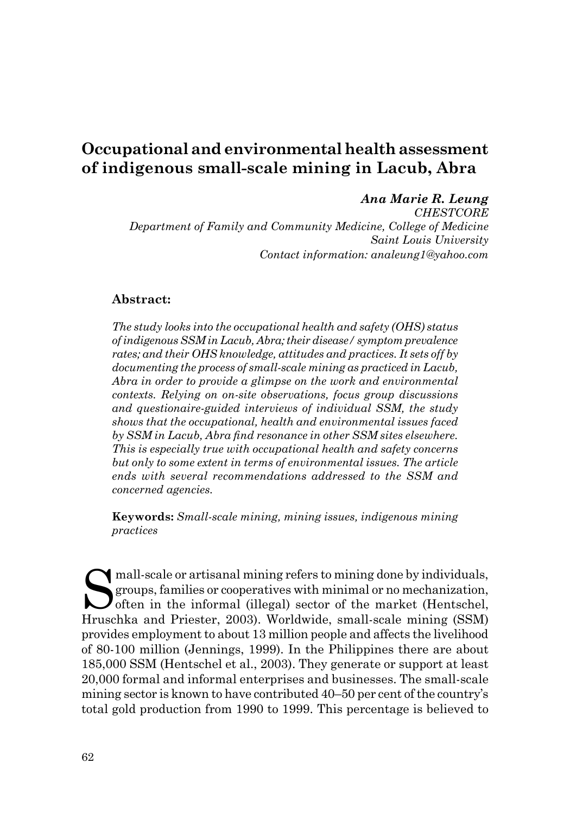# **Occupational and environmental health assessment of indigenous small-scale mining in Lacub, Abra**

#### *Ana Marie R. Leung*

*CHESTCORE Department of Family and Community Medicine, College of Medicine Saint Louis University Contact information: analeung1@yahoo.com* 

#### **Abstract:**

*The study looks into the occupational health and safety (OHS) status of indigenous SSM in Lacub, Abra; their disease/ symptom prevalence rates; and their OHS knowledge, attitudes and practices. It sets off by documenting the process of small-scale mining as practiced in Lacub, Abra in order to provide a glimpse on the work and environmental contexts. Relying on on-site observations, focus group discussions and questionaire-guided interviews of individual SSM, the study shows that the occupational, health and environmental issues faced by SSM in Lacub, Abra find resonance in other SSM sites elsewhere. This is especially true with occupational health and safety concerns but only to some extent in terms of environmental issues. The article ends with several recommendations addressed to the SSM and concerned agencies.* 

**Keywords:** *Small-scale mining, mining issues, indigenous mining practices*

mall-scale or artisanal mining refers to mining done by individuals, groups, families or cooperatives with minimal or no mechanization,  $\bigcup$  often in the informal (illegal) sector of the market (Hentschel, Hruschka and Priester, 2003). Worldwide, small-scale mining (SSM) provides employment to about 13 million people and affects the livelihood of 80-100 million (Jennings, 1999). In the Philippines there are about 185,000 SSM (Hentschel et al., 2003). They generate or support at least 20,000 formal and informal enterprises and businesses. The small-scale mining sector is known to have contributed 40–50 per cent of the country's total gold production from 1990 to 1999. This percentage is believed to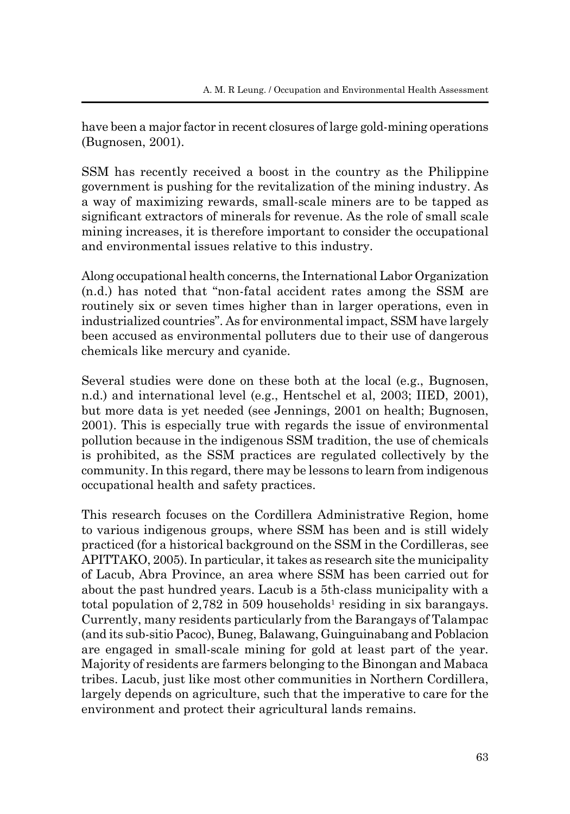have been a major factor in recent closures of large gold-mining operations (Bugnosen, 2001).

SSM has recently received a boost in the country as the Philippine government is pushing for the revitalization of the mining industry. As a way of maximizing rewards, small-scale miners are to be tapped as significant extractors of minerals for revenue. As the role of small scale mining increases, it is therefore important to consider the occupational and environmental issues relative to this industry.

Along occupational health concerns, the International Labor Organization (n.d.) has noted that "non-fatal accident rates among the SSM are routinely six or seven times higher than in larger operations, even in industrialized countries". As for environmental impact, SSM have largely been accused as environmental polluters due to their use of dangerous chemicals like mercury and cyanide.

Several studies were done on these both at the local (e.g., Bugnosen, n.d.) and international level (e.g., Hentschel et al, 2003; IIED, 2001), but more data is yet needed (see Jennings, 2001 on health; Bugnosen, 2001). This is especially true with regards the issue of environmental pollution because in the indigenous SSM tradition, the use of chemicals is prohibited, as the SSM practices are regulated collectively by the community. In this regard, there may be lessons to learn from indigenous occupational health and safety practices.

This research focuses on the Cordillera Administrative Region, home to various indigenous groups, where SSM has been and is still widely practiced (for a historical background on the SSM in the Cordilleras, see APITTAKO, 2005). In particular, it takes as research site the municipality of Lacub, Abra Province, an area where SSM has been carried out for about the past hundred years. Lacub is a 5th-class municipality with a total population of  $2,782$  in 509 households<sup>1</sup> residing in six barangays. Currently, many residents particularly from the Barangays of Talampac (and its sub-sitio Pacoc), Buneg, Balawang, Guinguinabang and Poblacion are engaged in small-scale mining for gold at least part of the year. Majority of residents are farmers belonging to the Binongan and Mabaca tribes. Lacub, just like most other communities in Northern Cordillera, largely depends on agriculture, such that the imperative to care for the environment and protect their agricultural lands remains.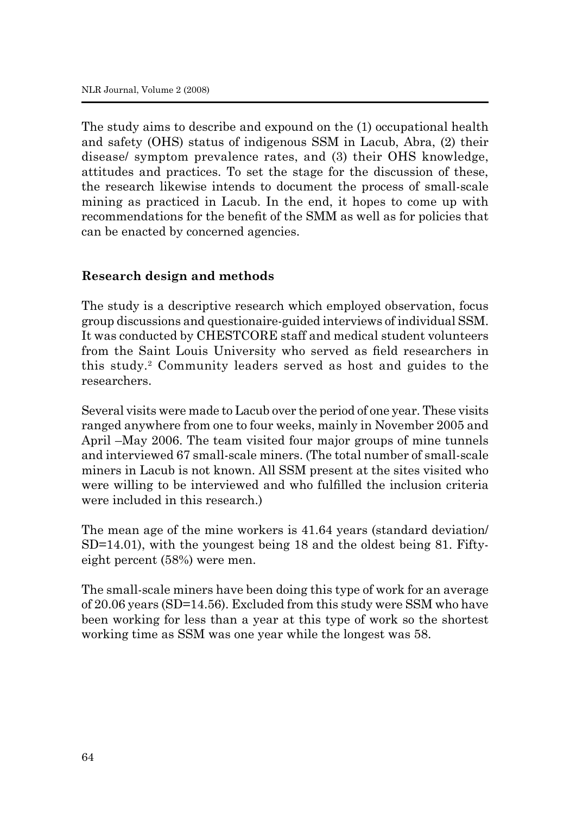The study aims to describe and expound on the (1) occupational health and safety (OHS) status of indigenous SSM in Lacub, Abra, (2) their disease/ symptom prevalence rates, and (3) their OHS knowledge, attitudes and practices. To set the stage for the discussion of these, the research likewise intends to document the process of small-scale mining as practiced in Lacub. In the end, it hopes to come up with recommendations for the benefit of the SMM as well as for policies that can be enacted by concerned agencies.

## **Research design and methods**

The study is a descriptive research which employed observation, focus group discussions and questionaire-guided interviews of individual SSM. It was conducted by CHESTCORE staff and medical student volunteers from the Saint Louis University who served as field researchers in this study.2 Community leaders served as host and guides to the researchers.

Several visits were made to Lacub over the period of one year. These visits ranged anywhere from one to four weeks, mainly in November 2005 and April –May 2006. The team visited four major groups of mine tunnels and interviewed 67 small-scale miners. (The total number of small-scale miners in Lacub is not known. All SSM present at the sites visited who were willing to be interviewed and who fulfilled the inclusion criteria were included in this research.)

The mean age of the mine workers is 41.64 years (standard deviation/ SD=14.01), with the youngest being 18 and the oldest being 81. Fiftyeight percent (58%) were men.

The small-scale miners have been doing this type of work for an average of 20.06 years (SD=14.56). Excluded from this study were SSM who have been working for less than a year at this type of work so the shortest working time as SSM was one year while the longest was 58.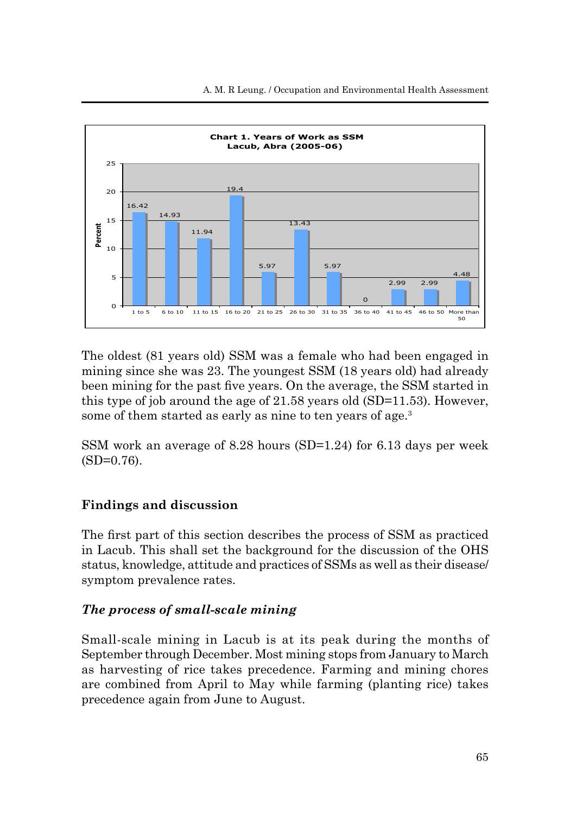

The oldest (81 years old) SSM was a female who had been engaged in mining since she was 23. The youngest SSM (18 years old) had already been mining for the past five years. On the average, the SSM started in this type of job around the age of 21.58 years old (SD=11.53). However, some of them started as early as nine to ten years of age.<sup>3</sup>

SSM work an average of 8.28 hours (SD=1.24) for 6.13 days per week  $(SD=0.76)$ .

# **Findings and discussion**

The first part of this section describes the process of SSM as practiced in Lacub. This shall set the background for the discussion of the OHS status, knowledge, attitude and practices of SSMs as well as their disease/ symptom prevalence rates.

# *The process of small-scale mining*

Small-scale mining in Lacub is at its peak during the months of September through December. Most mining stops from January to March as harvesting of rice takes precedence. Farming and mining chores are combined from April to May while farming (planting rice) takes precedence again from June to August.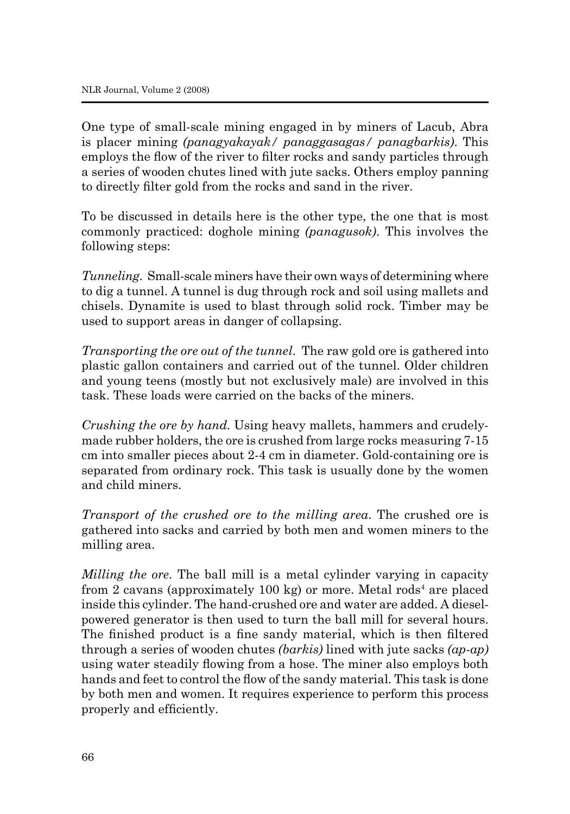One type of small-scale mining engaged in by miners of Lacub, Abra is placer mining *(panagyakayak/ panaggasagas/ panagbarkis)*. This employs the flow of the river to filter rocks and sandy particles through a series of wooden chutes lined with jute sacks. Others employ panning to directly filter gold from the rocks and sand in the river.

To be discussed in details here is the other type, the one that is most commonly practiced: doghole mining *(panagusok)*. This involves the following steps:

*Tunneling*. Small-scale miners have their own ways of determining where to dig a tunnel. A tunnel is dug through rock and soil using mallets and chisels. Dynamite is used to blast through solid rock. Timber may be used to support areas in danger of collapsing.

*Transporting the ore out of the tunnel*. The raw gold ore is gathered into plastic gallon containers and carried out of the tunnel. Older children and young teens (mostly but not exclusively male) are involved in this task. These loads were carried on the backs of the miners.

*Crushing the ore by hand.* Using heavy mallets, hammers and crudelymade rubber holders, the ore is crushed from large rocks measuring 7-15 cm into smaller pieces about 2-4 cm in diameter. Gold-containing ore is separated from ordinary rock. This task is usually done by the women and child miners.

*Transport of the crushed ore to the milling area*. The crushed ore is gathered into sacks and carried by both men and women miners to the milling area.

*Milling the ore*. The ball mill is a metal cylinder varying in capacity from 2 cavans (approximately 100 kg) or more. Metal rods<sup>4</sup> are placed inside this cylinder. The hand-crushed ore and water are added. A dieselpowered generator is then used to turn the ball mill for several hours. The finished product is a fine sandy material, which is then filtered through a series of wooden chutes *(barkis)* lined with jute sacks *(ap-ap)* using water steadily flowing from a hose. The miner also employs both hands and feet to control the flow of the sandy material. This task is done by both men and women. It requires experience to perform this process properly and efficiently.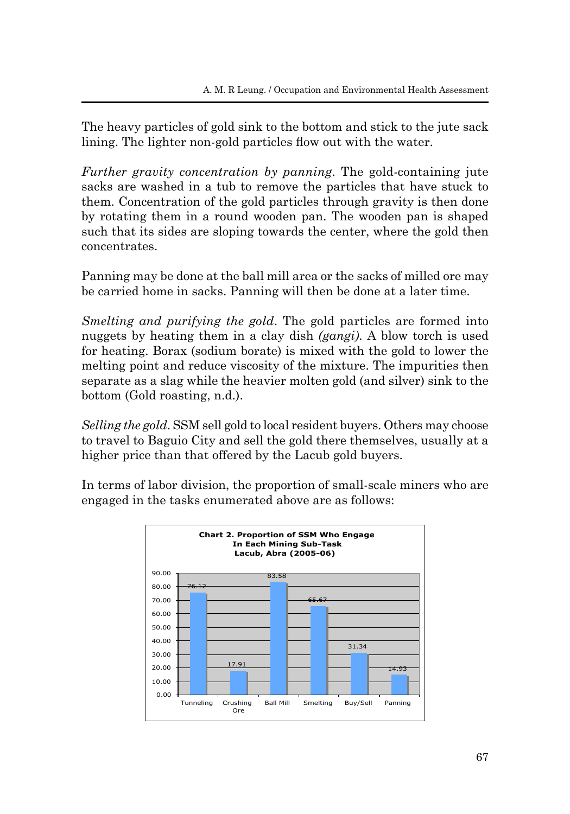The heavy particles of gold sink to the bottom and stick to the jute sack lining. The lighter non-gold particles flow out with the water.

*Further gravity concentration by panning*. The gold-containing jute sacks are washed in a tub to remove the particles that have stuck to them. Concentration of the gold particles through gravity is then done by rotating them in a round wooden pan. The wooden pan is shaped such that its sides are sloping towards the center, where the gold then concentrates.

Panning may be done at the ball mill area or the sacks of milled ore may be carried home in sacks. Panning will then be done at a later time.

*Smelting and purifying the gold*. The gold particles are formed into nuggets by heating them in a clay dish *(gangi)*. A blow torch is used for heating. Borax (sodium borate) is mixed with the gold to lower the melting point and reduce viscosity of the mixture. The impurities then separate as a slag while the heavier molten gold (and silver) sink to the bottom (Gold roasting, n.d.).

*Selling the gold*. SSM sell gold to local resident buyers. Others may choose to travel to Baguio City and sell the gold there themselves, usually at a higher price than that offered by the Lacub gold buyers.

In terms of labor division, the proportion of small-scale miners who are engaged in the tasks enumerated above are as follows:

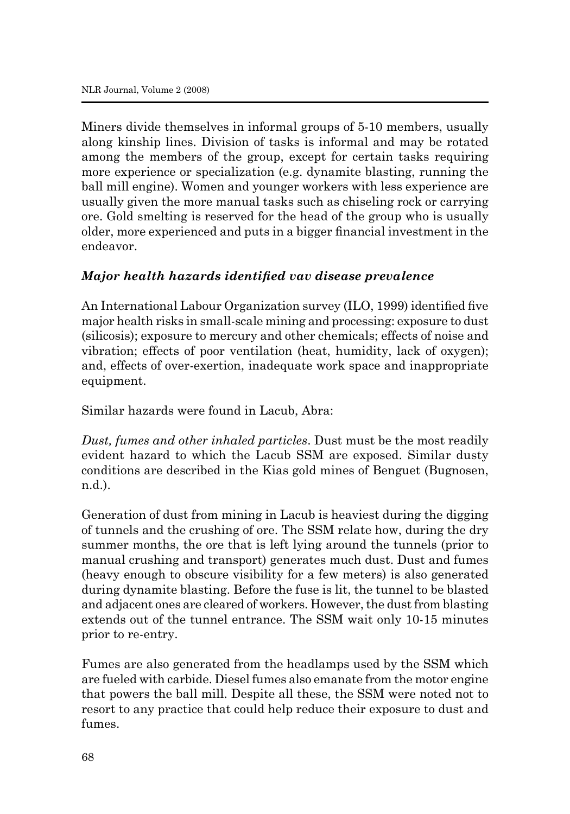Miners divide themselves in informal groups of 5-10 members, usually along kinship lines. Division of tasks is informal and may be rotated among the members of the group, except for certain tasks requiring more experience or specialization (e.g. dynamite blasting, running the ball mill engine). Women and younger workers with less experience are usually given the more manual tasks such as chiseling rock or carrying ore. Gold smelting is reserved for the head of the group who is usually older, more experienced and puts in a bigger financial investment in the endeavor.

# *Major health hazards identified vav disease prevalence*

An International Labour Organization survey (ILO, 1999) identified five major health risks in small-scale mining and processing: exposure to dust (silicosis); exposure to mercury and other chemicals; effects of noise and vibration; effects of poor ventilation (heat, humidity, lack of oxygen); and, effects of over-exertion, inadequate work space and inappropriate equipment.

Similar hazards were found in Lacub, Abra:

*Dust, fumes and other inhaled particles*. Dust must be the most readily evident hazard to which the Lacub SSM are exposed. Similar dusty conditions are described in the Kias gold mines of Benguet (Bugnosen, n.d.).

Generation of dust from mining in Lacub is heaviest during the digging of tunnels and the crushing of ore. The SSM relate how, during the dry summer months, the ore that is left lying around the tunnels (prior to manual crushing and transport) generates much dust. Dust and fumes (heavy enough to obscure visibility for a few meters) is also generated during dynamite blasting. Before the fuse is lit, the tunnel to be blasted and adjacent ones are cleared of workers. However, the dust from blasting extends out of the tunnel entrance. The SSM wait only 10-15 minutes prior to re-entry.

Fumes are also generated from the headlamps used by the SSM which are fueled with carbide. Diesel fumes also emanate from the motor engine that powers the ball mill. Despite all these, the SSM were noted not to resort to any practice that could help reduce their exposure to dust and fumes.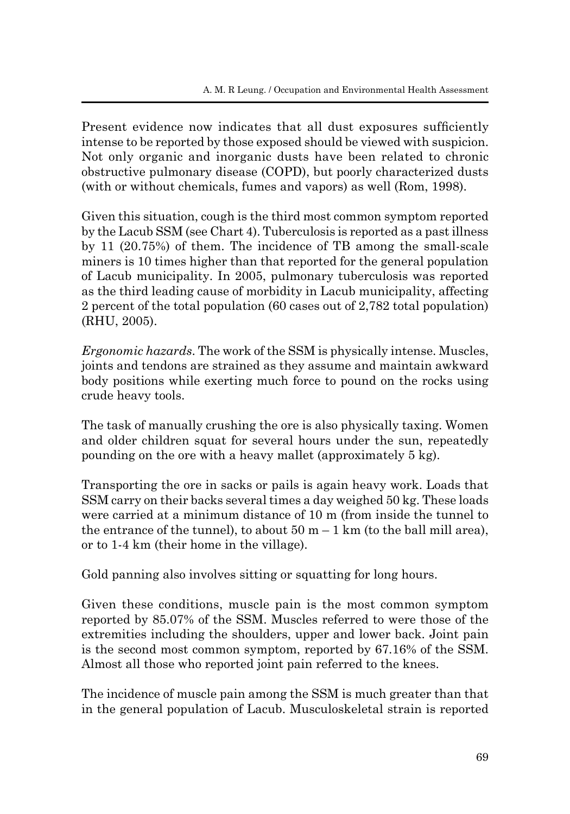Present evidence now indicates that all dust exposures sufficiently intense to be reported by those exposed should be viewed with suspicion. Not only organic and inorganic dusts have been related to chronic obstructive pulmonary disease (COPD), but poorly characterized dusts (with or without chemicals, fumes and vapors) as well (Rom, 1998).

Given this situation, cough is the third most common symptom reported by the Lacub SSM (see Chart 4). Tuberculosis is reported as a past illness by 11 (20.75%) of them. The incidence of TB among the small-scale miners is 10 times higher than that reported for the general population of Lacub municipality. In 2005, pulmonary tuberculosis was reported as the third leading cause of morbidity in Lacub municipality, affecting 2 percent of the total population (60 cases out of 2,782 total population) (RHU, 2005).

*Ergonomic hazards*. The work of the SSM is physically intense. Muscles, joints and tendons are strained as they assume and maintain awkward body positions while exerting much force to pound on the rocks using crude heavy tools.

The task of manually crushing the ore is also physically taxing. Women and older children squat for several hours under the sun, repeatedly pounding on the ore with a heavy mallet (approximately 5 kg).

Transporting the ore in sacks or pails is again heavy work. Loads that SSM carry on their backs several times a day weighed 50 kg. These loads were carried at a minimum distance of 10 m (from inside the tunnel to the entrance of the tunnel), to about  $50 \text{ m} - 1 \text{ km}$  (to the ball mill area), or to 1-4 km (their home in the village).

Gold panning also involves sitting or squatting for long hours.

Given these conditions, muscle pain is the most common symptom reported by 85.07% of the SSM. Muscles referred to were those of the extremities including the shoulders, upper and lower back. Joint pain is the second most common symptom, reported by 67.16% of the SSM. Almost all those who reported joint pain referred to the knees.

The incidence of muscle pain among the SSM is much greater than that in the general population of Lacub. Musculoskeletal strain is reported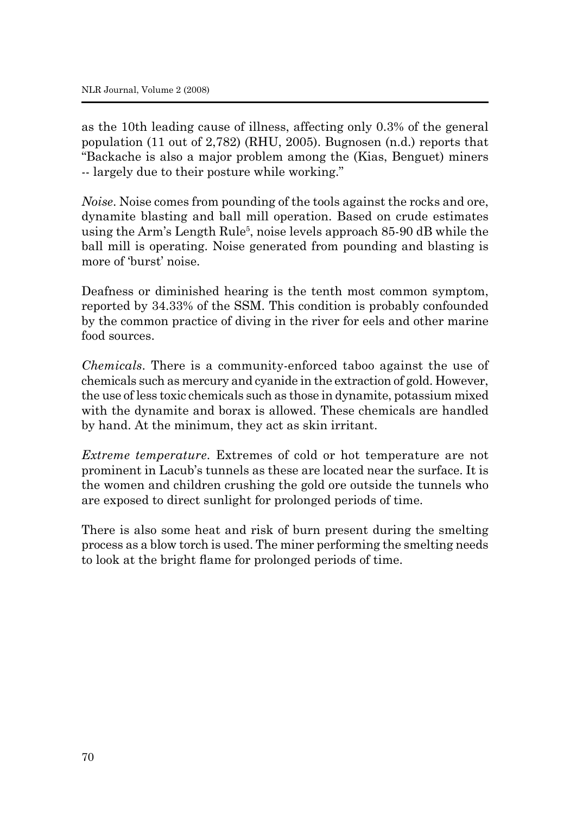as the 10th leading cause of illness, affecting only 0.3% of the general population (11 out of 2,782) (RHU, 2005). Bugnosen (n.d.) reports that "Backache is also a major problem among the (Kias, Benguet) miners -- largely due to their posture while working."

*Noise*. Noise comes from pounding of the tools against the rocks and ore, dynamite blasting and ball mill operation. Based on crude estimates using the Arm's Length Rule<sup>5</sup>, noise levels approach 85-90 dB while the ball mill is operating. Noise generated from pounding and blasting is more of 'burst' noise.

Deafness or diminished hearing is the tenth most common symptom, reported by 34.33% of the SSM. This condition is probably confounded by the common practice of diving in the river for eels and other marine food sources.

*Chemicals*. There is a community-enforced taboo against the use of chemicals such as mercury and cyanide in the extraction of gold. However, the use of less toxic chemicals such as those in dynamite, potassium mixed with the dynamite and borax is allowed. These chemicals are handled by hand. At the minimum, they act as skin irritant.

*Extreme temperature*. Extremes of cold or hot temperature are not prominent in Lacub's tunnels as these are located near the surface. It is the women and children crushing the gold ore outside the tunnels who are exposed to direct sunlight for prolonged periods of time.

There is also some heat and risk of burn present during the smelting process as a blow torch is used. The miner performing the smelting needs to look at the bright flame for prolonged periods of time.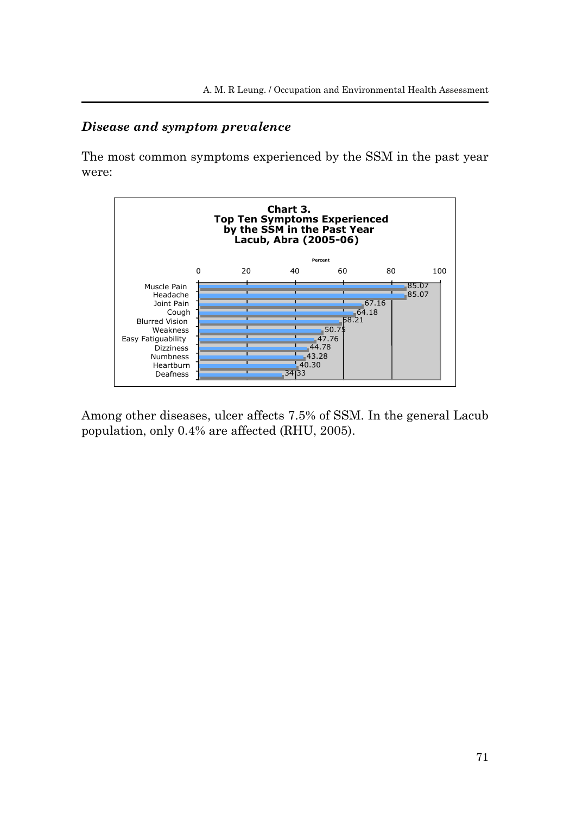## *Disease and symptom prevalence*

The most common symptoms experienced by the SSM in the past year were:



Among other diseases, ulcer affects 7.5% of SSM. In the general Lacub population, only 0.4% are affected (RHU, 2005).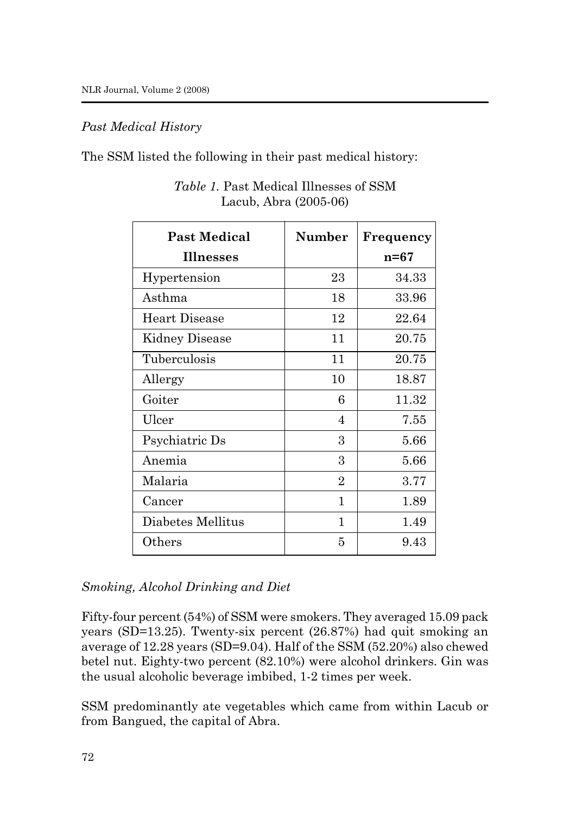### *Past Medical History*

The SSM listed the following in their past medical history:

| <b>Past Medical</b> | Number                      | Frequency |
|---------------------|-----------------------------|-----------|
| Illnesses           |                             | n=67      |
| Hypertension        | 23                          | 34.33     |
| Asthma              | 18                          | 33.96     |
| Heart Disease       | 12                          | 22.64     |
| Kidney Disease      | 11                          | 20.75     |
| Tuberculosis        | 11                          | 20.75     |
| Allergy             | 10                          | 18.87     |
| Goiter              | 6                           | 11.32     |
| Ulcer               | 4                           | 7.55      |
| Psychiatric Ds      | 3                           | 5.66      |
| Anemia              | 3                           | 5.66      |
| Malaria             | $\mathcal{D}_{\mathcal{L}}$ | 3.77      |
| Cancer              | 1                           | 1.89      |
| Diabetes Mellitus   | 1                           | 1.49      |
| Others              | 5                           | 9.43      |

*Table 1.* Past Medical Illnesses of SSM Lacub, Abra (2005-06)

# *Smoking, Alcohol Drinking and Diet*

Fifty-four percent (54%) of SSM were smokers. They averaged 15.09 pack years (SD=13.25). Twenty-six percent (26.87%) had quit smoking an average of 12.28 years (SD=9.04). Half of the SSM (52.20%) also chewed betel nut. Eighty-two percent (82.10%) were alcohol drinkers. Gin was the usual alcoholic beverage imbibed, 1-2 times per week.

SSM predominantly ate vegetables which came from within Lacub or from Bangued, the capital of Abra.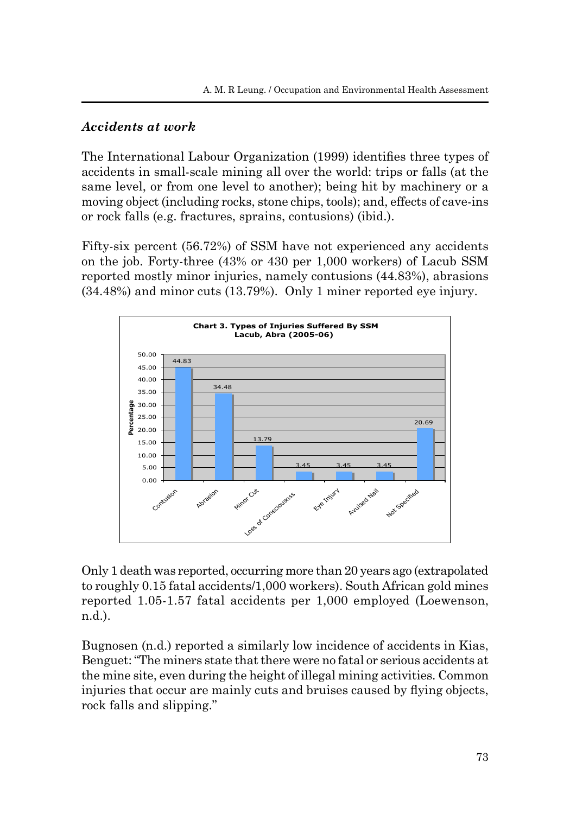### *Accidents at work*

The International Labour Organization (1999) identifies three types of accidents in small-scale mining all over the world: trips or falls (at the same level, or from one level to another); being hit by machinery or a moving object (including rocks, stone chips, tools); and, effects of cave-ins or rock falls (e.g. fractures, sprains, contusions) (ibid.).

Fifty-six percent (56.72%) of SSM have not experienced any accidents on the job. Forty-three (43% or 430 per 1,000 workers) of Lacub SSM reported mostly minor injuries, namely contusions (44.83%), abrasions (34.48%) and minor cuts (13.79%). Only 1 miner reported eye injury.



Only 1 death was reported, occurring more than 20 years ago (extrapolated to roughly 0.15 fatal accidents/1,000 workers). South African gold mines reported 1.05-1.57 fatal accidents per 1,000 employed (Loewenson, n.d.).

Bugnosen (n.d.) reported a similarly low incidence of accidents in Kias, Benguet: "The miners state that there were no fatal or serious accidents at the mine site, even during the height of illegal mining activities. Common injuries that occur are mainly cuts and bruises caused by flying objects, rock falls and slipping."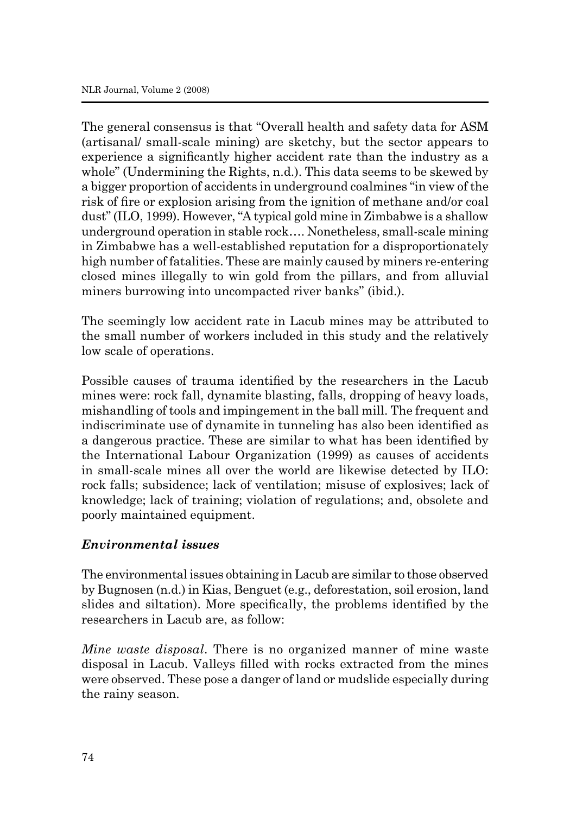The general consensus is that "Overall health and safety data for ASM (artisanal/ small-scale mining) are sketchy, but the sector appears to experience a significantly higher accident rate than the industry as a whole" (Undermining the Rights, n.d.). This data seems to be skewed by a bigger proportion of accidents in underground coalmines "in view of the risk of fire or explosion arising from the ignition of methane and/or coal dust" (ILO, 1999). However, "A typical gold mine in Zimbabwe is a shallow underground operation in stable rock…. Nonetheless, small-scale mining in Zimbabwe has a well-established reputation for a disproportionately high number of fatalities. These are mainly caused by miners re-entering closed mines illegally to win gold from the pillars, and from alluvial miners burrowing into uncompacted river banks" (ibid.).

The seemingly low accident rate in Lacub mines may be attributed to the small number of workers included in this study and the relatively low scale of operations.

Possible causes of trauma identified by the researchers in the Lacub mines were: rock fall, dynamite blasting, falls, dropping of heavy loads, mishandling of tools and impingement in the ball mill. The frequent and indiscriminate use of dynamite in tunneling has also been identified as a dangerous practice. These are similar to what has been identified by the International Labour Organization (1999) as causes of accidents in small-scale mines all over the world are likewise detected by ILO: rock falls; subsidence; lack of ventilation; misuse of explosives; lack of knowledge; lack of training; violation of regulations; and, obsolete and poorly maintained equipment.

### *Environmental issues*

The environmental issues obtaining in Lacub are similar to those observed by Bugnosen (n.d.) in Kias, Benguet (e.g., deforestation, soil erosion, land slides and siltation). More specifically, the problems identified by the researchers in Lacub are, as follow:

*Mine waste disposal*. There is no organized manner of mine waste disposal in Lacub. Valleys filled with rocks extracted from the mines were observed. These pose a danger of land or mudslide especially during the rainy season.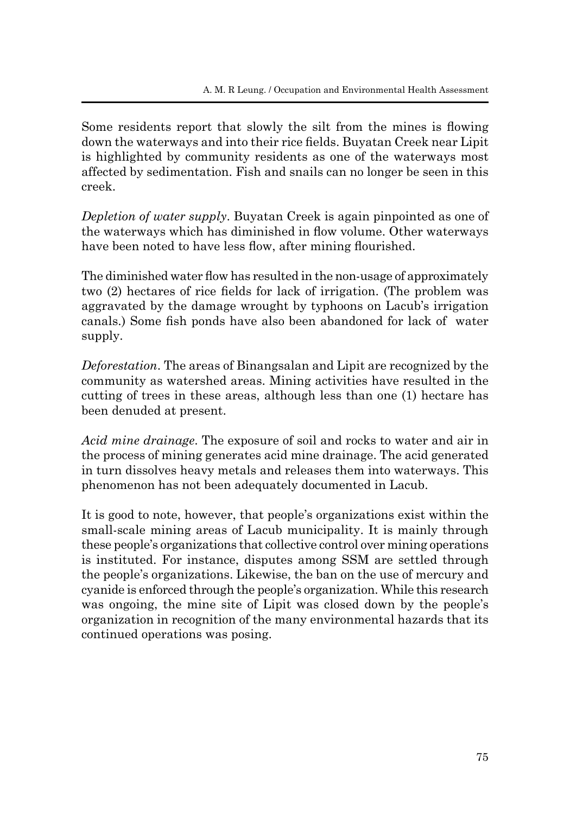Some residents report that slowly the silt from the mines is flowing down the waterways and into their rice fields. Buyatan Creek near Lipit is highlighted by community residents as one of the waterways most affected by sedimentation. Fish and snails can no longer be seen in this creek.

*Depletion of water supply*. Buyatan Creek is again pinpointed as one of the waterways which has diminished in flow volume. Other waterways have been noted to have less flow, after mining flourished.

The diminished water flow has resulted in the non-usage of approximately two (2) hectares of rice fields for lack of irrigation. (The problem was aggravated by the damage wrought by typhoons on Lacub's irrigation canals.) Some fish ponds have also been abandoned for lack of water supply.

*Deforestation*. The areas of Binangsalan and Lipit are recognized by the community as watershed areas. Mining activities have resulted in the cutting of trees in these areas, although less than one (1) hectare has been denuded at present.

*Acid mine drainage*. The exposure of soil and rocks to water and air in the process of mining generates acid mine drainage. The acid generated in turn dissolves heavy metals and releases them into waterways. This phenomenon has not been adequately documented in Lacub.

It is good to note, however, that people's organizations exist within the small-scale mining areas of Lacub municipality. It is mainly through these people's organizations that collective control over mining operations is instituted. For instance, disputes among SSM are settled through the people's organizations. Likewise, the ban on the use of mercury and cyanide is enforced through the people's organization. While this research was ongoing, the mine site of Lipit was closed down by the people's organization in recognition of the many environmental hazards that its continued operations was posing.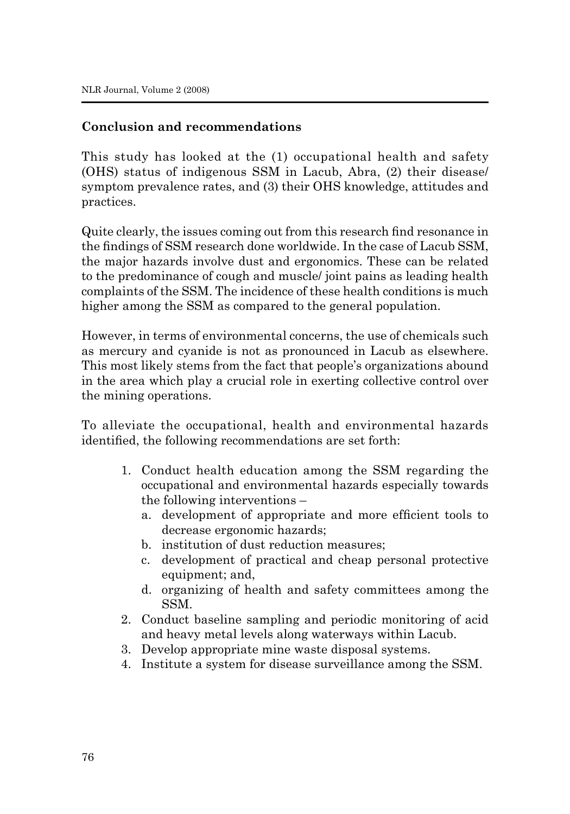## **Conclusion and recommendations**

This study has looked at the (1) occupational health and safety (OHS) status of indigenous SSM in Lacub, Abra, (2) their disease/ symptom prevalence rates, and (3) their OHS knowledge, attitudes and practices.

Quite clearly, the issues coming out from this research find resonance in the findings of SSM research done worldwide. In the case of Lacub SSM, the major hazards involve dust and ergonomics. These can be related to the predominance of cough and muscle/ joint pains as leading health complaints of the SSM. The incidence of these health conditions is much higher among the SSM as compared to the general population.

However, in terms of environmental concerns, the use of chemicals such as mercury and cyanide is not as pronounced in Lacub as elsewhere. This most likely stems from the fact that people's organizations abound in the area which play a crucial role in exerting collective control over the mining operations.

To alleviate the occupational, health and environmental hazards identified, the following recommendations are set forth:

- 1. Conduct health education among the SSM regarding the occupational and environmental hazards especially towards the following interventions –
	- a. development of appropriate and more efficient tools to decrease ergonomic hazards;
	- b. institution of dust reduction measures;
	- c. development of practical and cheap personal protective equipment; and,
	- d. organizing of health and safety committees among the SSM.
- 2. Conduct baseline sampling and periodic monitoring of acid and heavy metal levels along waterways within Lacub.
- 3. Develop appropriate mine waste disposal systems.
- 4. Institute a system for disease surveillance among the SSM.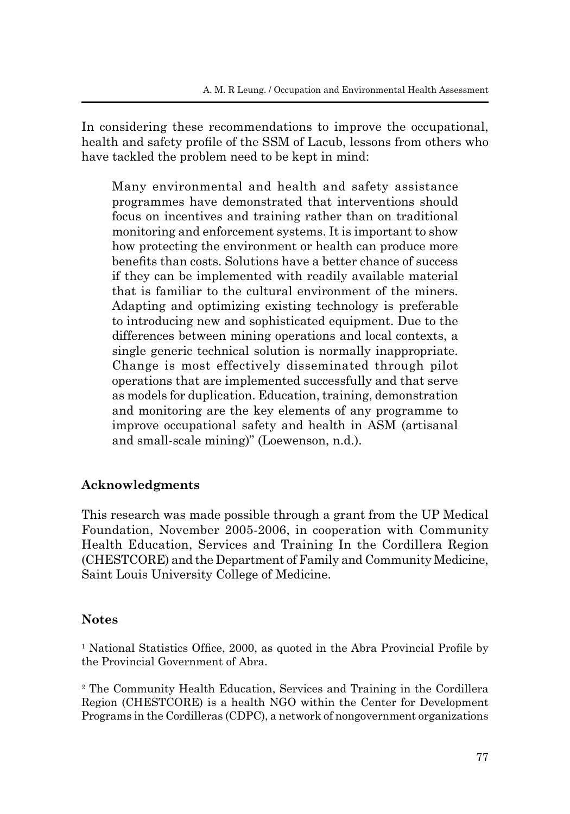In considering these recommendations to improve the occupational, health and safety profile of the SSM of Lacub, lessons from others who have tackled the problem need to be kept in mind:

Many environmental and health and safety assistance programmes have demonstrated that interventions should focus on incentives and training rather than on traditional monitoring and enforcement systems. It is important to show how protecting the environment or health can produce more benefits than costs. Solutions have a better chance of success if they can be implemented with readily available material that is familiar to the cultural environment of the miners. Adapting and optimizing existing technology is preferable to introducing new and sophisticated equipment. Due to the differences between mining operations and local contexts, a single generic technical solution is normally inappropriate. Change is most effectively disseminated through pilot operations that are implemented successfully and that serve as models for duplication. Education, training, demonstration and monitoring are the key elements of any programme to improve occupational safety and health in ASM (artisanal and small-scale mining)" (Loewenson, n.d.).

# **Acknowledgments**

This research was made possible through a grant from the UP Medical Foundation, November 2005-2006, in cooperation with Community Health Education, Services and Training In the Cordillera Region (CHESTCORE) and the Department of Family and Community Medicine, Saint Louis University College of Medicine.

# **Notes**

<sup>1</sup> National Statistics Office, 2000, as quoted in the Abra Provincial Profile by the Provincial Government of Abra.

2 The Community Health Education, Services and Training in the Cordillera Region (CHESTCORE) is a health NGO within the Center for Development Programs in the Cordilleras (CDPC), a network of nongovernment organizations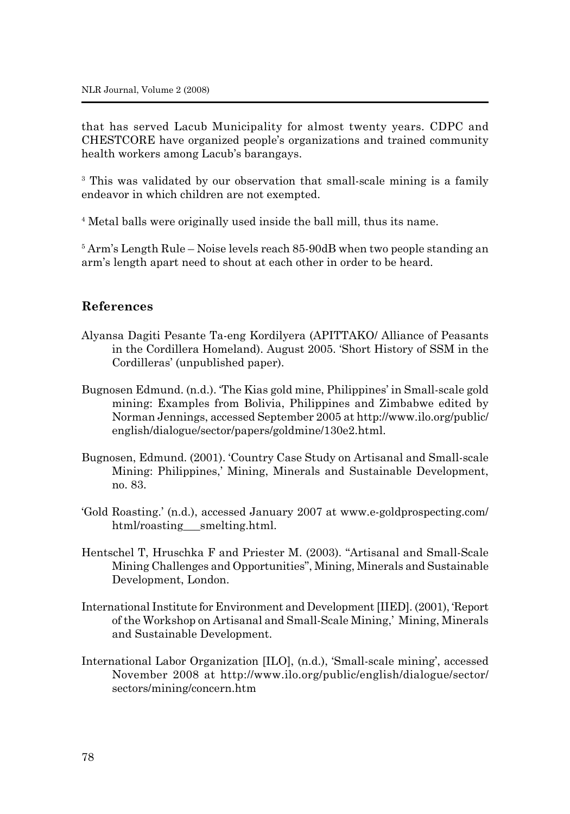that has served Lacub Municipality for almost twenty years. CDPC and CHESTCORE have organized people's organizations and trained community health workers among Lacub's barangays.

<sup>3</sup> This was validated by our observation that small-scale mining is a family endeavor in which children are not exempted.

4 Metal balls were originally used inside the ball mill, thus its name.

5 Arm's Length Rule – Noise levels reach 85-90dB when two people standing an arm's length apart need to shout at each other in order to be heard.

#### **References**

- Alyansa Dagiti Pesante Ta-eng Kordilyera (APITTAKO/ Alliance of Peasants in the Cordillera Homeland). August 2005. 'Short History of SSM in the Cordilleras' (unpublished paper).
- Bugnosen Edmund. (n.d.). 'The Kias gold mine, Philippines' in Small-scale gold mining: Examples from Bolivia, Philippines and Zimbabwe edited by Norman Jennings, accessed September 2005 at http://www.ilo.org/public/ english/dialogue/sector/papers/goldmine/130e2.html.
- Bugnosen, Edmund. (2001). 'Country Case Study on Artisanal and Small-scale Mining: Philippines,' Mining, Minerals and Sustainable Development, no. 83.
- 'Gold Roasting.' (n.d.), accessed January 2007 at www.e-goldprospecting.com/ html/roasting\_smelting.html.
- Hentschel T, Hruschka F and Priester M. (2003). "Artisanal and Small-Scale Mining Challenges and Opportunities", Mining, Minerals and Sustainable Development, London.
- International Institute for Environment and Development [IIED]. (2001), 'Report of the Workshop on Artisanal and Small-Scale Mining,' Mining, Minerals and Sustainable Development.
- International Labor Organization [ILO], (n.d.), 'Small-scale mining', accessed November 2008 at http://www.ilo.org/public/english/dialogue/sector/ sectors/mining/concern.htm